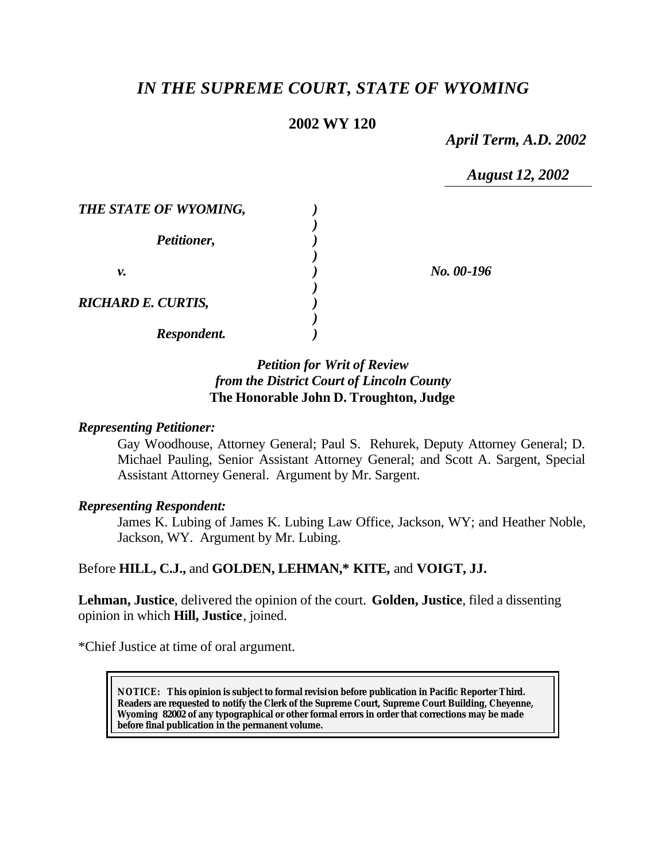# *IN THE SUPREME COURT, STATE OF WYOMING*

# **2002 WY 120**

*April Term, A.D. 2002*

*August 12, 2002*

| THE STATE OF WYOMING,     |            |
|---------------------------|------------|
| Petitioner,               |            |
| ν.                        | No. 00-196 |
| <b>RICHARD E. CURTIS,</b> |            |
| Respondent.               |            |

## *Petition for Writ of Review from the District Court of Lincoln County* **The Honorable John D. Troughton, Judge**

### *Representing Petitioner:*

Gay Woodhouse, Attorney General; Paul S. Rehurek, Deputy Attorney General; D. Michael Pauling, Senior Assistant Attorney General; and Scott A. Sargent, Special Assistant Attorney General. Argument by Mr. Sargent.

### *Representing Respondent:*

James K. Lubing of James K. Lubing Law Office, Jackson, WY; and Heather Noble, Jackson, WY. Argument by Mr. Lubing.

Before **HILL, C.J.,** and **GOLDEN, LEHMAN,\* KITE,** and **VOIGT, JJ.**

**Lehman, Justice**, delivered the opinion of the court. **Golden, Justice**, filed a dissenting opinion in which **Hill, Justice**, joined.

\*Chief Justice at time of oral argument.

**NOTICE:** *This opinion is subject to formal revision before publication in Pacific Reporter Third. Readers are requested to notify the Clerk of the Supreme Court, Supreme Court Building, Cheyenne, Wyoming 82002 of any typographical or other formal errors in order that corrections may be made before final publication in the permanent volume.*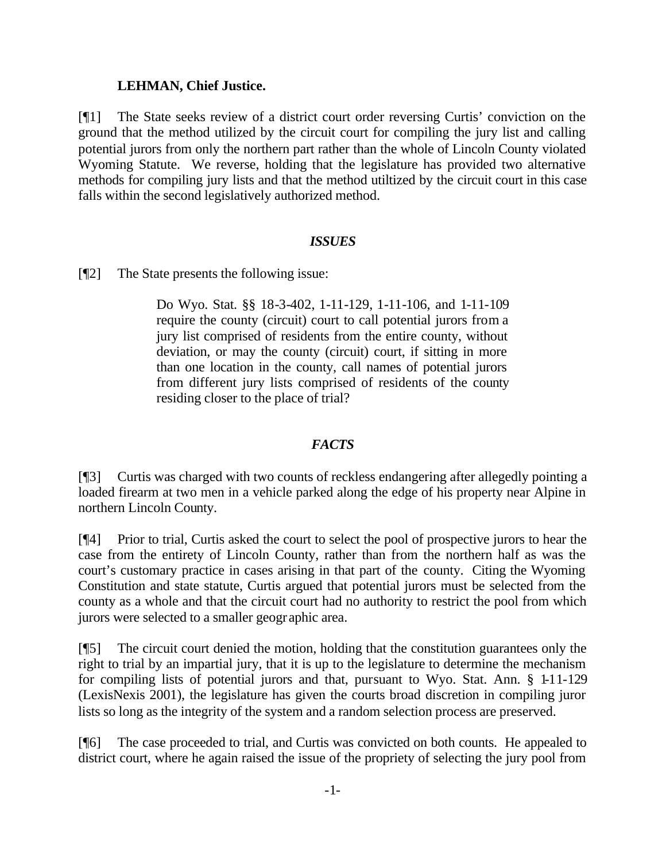### **LEHMAN, Chief Justice.**

[¶1] The State seeks review of a district court order reversing Curtis' conviction on the ground that the method utilized by the circuit court for compiling the jury list and calling potential jurors from only the northern part rather than the whole of Lincoln County violated Wyoming Statute. We reverse, holding that the legislature has provided two alternative methods for compiling jury lists and that the method utiltized by the circuit court in this case falls within the second legislatively authorized method.

# *ISSUES*

[¶2] The State presents the following issue:

Do Wyo. Stat. §§ 18-3-402, 1-11-129, 1-11-106, and 1-11-109 require the county (circuit) court to call potential jurors from a jury list comprised of residents from the entire county, without deviation, or may the county (circuit) court, if sitting in more than one location in the county, call names of potential jurors from different jury lists comprised of residents of the county residing closer to the place of trial?

# *FACTS*

[¶3] Curtis was charged with two counts of reckless endangering after allegedly pointing a loaded firearm at two men in a vehicle parked along the edge of his property near Alpine in northern Lincoln County.

[¶4] Prior to trial, Curtis asked the court to select the pool of prospective jurors to hear the case from the entirety of Lincoln County, rather than from the northern half as was the court's customary practice in cases arising in that part of the county. Citing the Wyoming Constitution and state statute, Curtis argued that potential jurors must be selected from the county as a whole and that the circuit court had no authority to restrict the pool from which jurors were selected to a smaller geographic area.

[¶5] The circuit court denied the motion, holding that the constitution guarantees only the right to trial by an impartial jury, that it is up to the legislature to determine the mechanism for compiling lists of potential jurors and that, pursuant to Wyo. Stat. Ann. § 1-11-129 (LexisNexis 2001), the legislature has given the courts broad discretion in compiling juror lists so long as the integrity of the system and a random selection process are preserved.

[¶6] The case proceeded to trial, and Curtis was convicted on both counts. He appealed to district court, where he again raised the issue of the propriety of selecting the jury pool from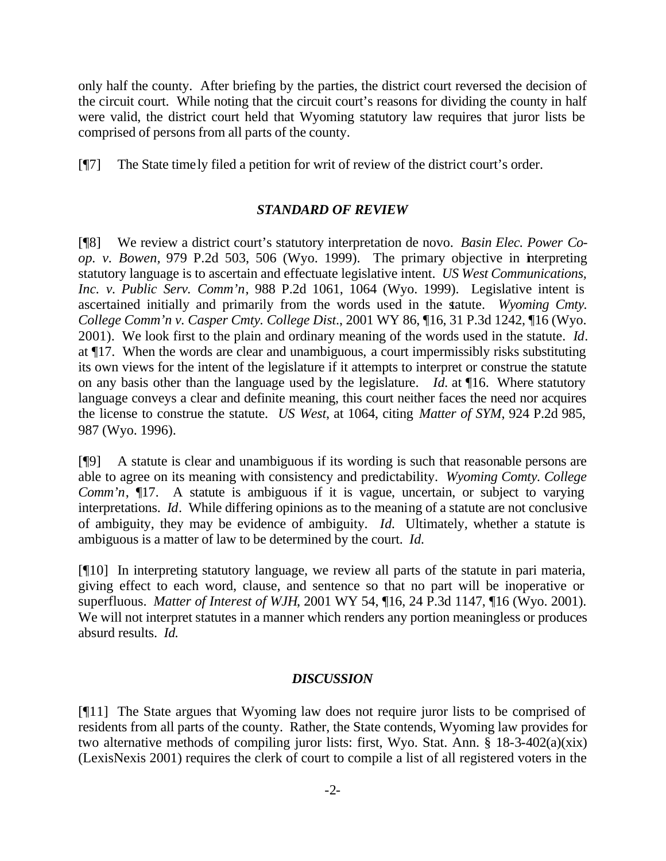only half the county. After briefing by the parties, the district court reversed the decision of the circuit court. While noting that the circuit court's reasons for dividing the county in half were valid, the district court held that Wyoming statutory law requires that juror lists be comprised of persons from all parts of the county.

[¶7] The State timely filed a petition for writ of review of the district court's order.

### *STANDARD OF REVIEW*

[¶8] We review a district court's statutory interpretation de novo. *Basin Elec. Power Coop. v. Bowen,* 979 P.2d 503, 506 (Wyo. 1999). The primary objective in interpreting statutory language is to ascertain and effectuate legislative intent. *US West Communications, Inc. v. Public Serv. Comm'n*, 988 P.2d 1061, 1064 (Wyo. 1999). Legislative intent is ascertained initially and primarily from the words used in the statute. *Wyoming Cmty. College Comm'n v. Casper Cmty. College Dist*., 2001 WY 86, ¶16, 31 P.3d 1242, ¶16 (Wyo. 2001). We look first to the plain and ordinary meaning of the words used in the statute. *Id*. at ¶17. When the words are clear and unambiguous, a court impermissibly risks substituting its own views for the intent of the legislature if it attempts to interpret or construe the statute on any basis other than the language used by the legislature. *Id.* at ¶16. Where statutory language conveys a clear and definite meaning, this court neither faces the need nor acquires the license to construe the statute. *US West*, at 1064, citing *Matter of SYM*, 924 P.2d 985, 987 (Wyo. 1996).

[¶9] A statute is clear and unambiguous if its wording is such that reasonable persons are able to agree on its meaning with consistency and predictability. *Wyoming Comty. College Comm'n*,  $\P$ 17. A statute is ambiguous if it is vague, uncertain, or subject to varying interpretations. *Id*. While differing opinions as to the meaning of a statute are not conclusive of ambiguity, they may be evidence of ambiguity. *Id.* Ultimately, whether a statute is ambiguous is a matter of law to be determined by the court. *Id.*

[¶10] In interpreting statutory language, we review all parts of the statute in pari materia, giving effect to each word, clause, and sentence so that no part will be inoperative or superfluous. *Matter of Interest of WJH*, 2001 WY 54, ¶16, 24 P.3d 1147, ¶16 (Wyo. 2001). We will not interpret statutes in a manner which renders any portion meaningless or produces absurd results. *Id.* 

### *DISCUSSION*

[¶11] The State argues that Wyoming law does not require juror lists to be comprised of residents from all parts of the county. Rather, the State contends, Wyoming law provides for two alternative methods of compiling juror lists: first, Wyo. Stat. Ann. § 18-3-402(a)(xix) (LexisNexis 2001) requires the clerk of court to compile a list of all registered voters in the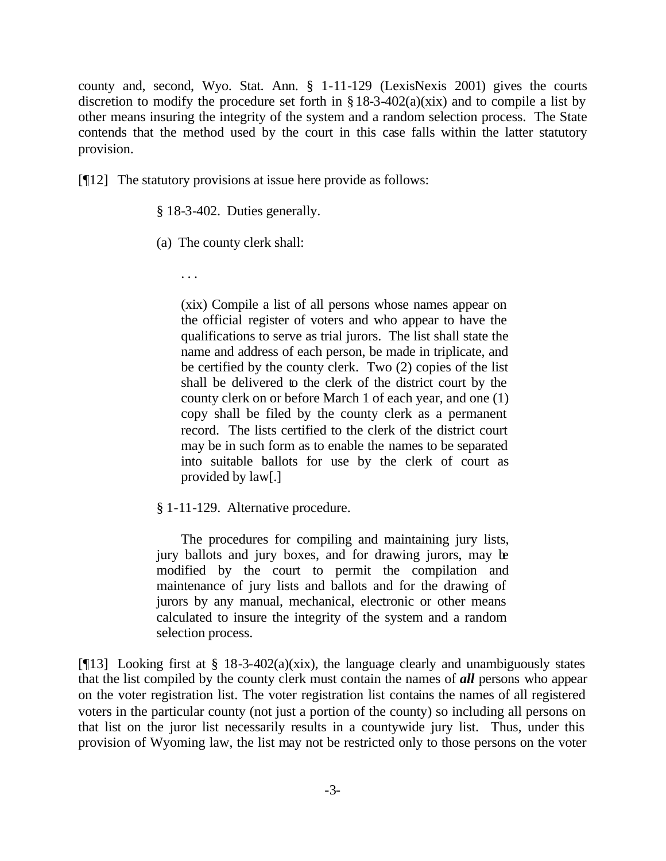county and, second, Wyo. Stat. Ann. § 1-11-129 (LexisNexis 2001) gives the courts discretion to modify the procedure set forth in  $\S 18-3-402(a)(xix)$  and to compile a list by other means insuring the integrity of the system and a random selection process. The State contends that the method used by the court in this case falls within the latter statutory provision.

[¶12] The statutory provisions at issue here provide as follows:

§ 18-3-402. Duties generally.

(a) The county clerk shall:

. . .

(xix) Compile a list of all persons whose names appear on the official register of voters and who appear to have the qualifications to serve as trial jurors. The list shall state the name and address of each person, be made in triplicate, and be certified by the county clerk. Two (2) copies of the list shall be delivered to the clerk of the district court by the county clerk on or before March 1 of each year, and one (1) copy shall be filed by the county clerk as a permanent record. The lists certified to the clerk of the district court may be in such form as to enable the names to be separated into suitable ballots for use by the clerk of court as provided by law[.]

### § 1-11-129. Alternative procedure.

The procedures for compiling and maintaining jury lists, jury ballots and jury boxes, and for drawing jurors, may be modified by the court to permit the compilation and maintenance of jury lists and ballots and for the drawing of jurors by any manual, mechanical, electronic or other means calculated to insure the integrity of the system and a random selection process.

[ $[13]$ ] Looking first at § 18-3-402(a)(xix), the language clearly and unambiguously states that the list compiled by the county clerk must contain the names of *all* persons who appear on the voter registration list. The voter registration list contains the names of all registered voters in the particular county (not just a portion of the county) so including all persons on that list on the juror list necessarily results in a countywide jury list. Thus, under this provision of Wyoming law, the list may not be restricted only to those persons on the voter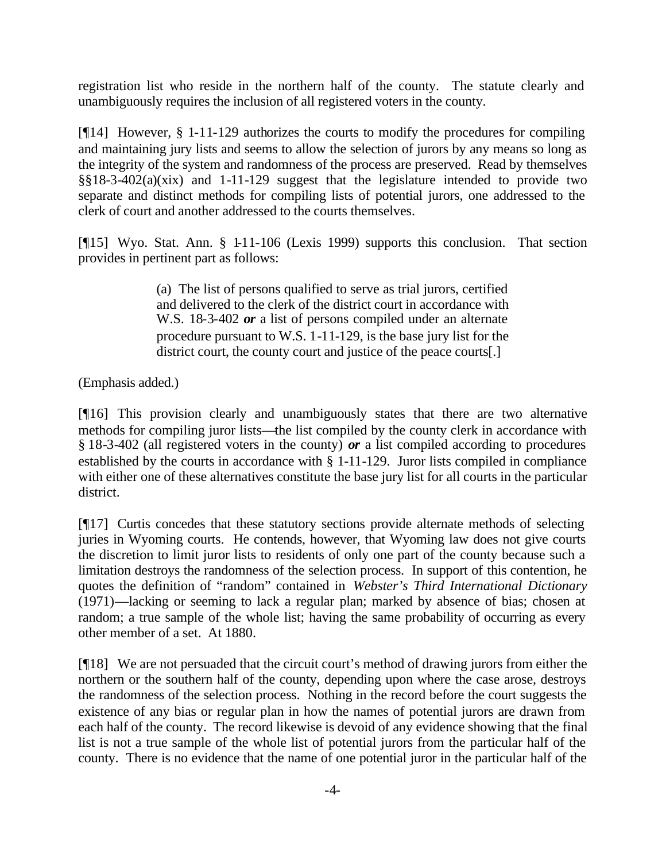registration list who reside in the northern half of the county. The statute clearly and unambiguously requires the inclusion of all registered voters in the county.

[¶14] However, § 1-11-129 authorizes the courts to modify the procedures for compiling and maintaining jury lists and seems to allow the selection of jurors by any means so long as the integrity of the system and randomness of the process are preserved. Read by themselves §§18-3-402(a)(xix) and 1-11-129 suggest that the legislature intended to provide two separate and distinct methods for compiling lists of potential jurors, one addressed to the clerk of court and another addressed to the courts themselves.

[¶15] Wyo. Stat. Ann. § 1-11-106 (Lexis 1999) supports this conclusion. That section provides in pertinent part as follows:

> (a) The list of persons qualified to serve as trial jurors, certified and delivered to the clerk of the district court in accordance with W.S. 18-3-402 *or* a list of persons compiled under an alternate procedure pursuant to W.S. 1-11-129, is the base jury list for the district court, the county court and justice of the peace courts[.]

(Emphasis added.)

[¶16] This provision clearly and unambiguously states that there are two alternative methods for compiling juror lists—the list compiled by the county clerk in accordance with § 18-3-402 (all registered voters in the county) *or* a list compiled according to procedures established by the courts in accordance with § 1-11-129. Juror lists compiled in compliance with either one of these alternatives constitute the base jury list for all courts in the particular district.

[¶17] Curtis concedes that these statutory sections provide alternate methods of selecting juries in Wyoming courts. He contends, however, that Wyoming law does not give courts the discretion to limit juror lists to residents of only one part of the county because such a limitation destroys the randomness of the selection process. In support of this contention, he quotes the definition of "random" contained in *Webster's Third International Dictionary* (1971)—lacking or seeming to lack a regular plan; marked by absence of bias; chosen at random; a true sample of the whole list; having the same probability of occurring as every other member of a set. At 1880.

[¶18] We are not persuaded that the circuit court's method of drawing jurors from either the northern or the southern half of the county, depending upon where the case arose, destroys the randomness of the selection process. Nothing in the record before the court suggests the existence of any bias or regular plan in how the names of potential jurors are drawn from each half of the county. The record likewise is devoid of any evidence showing that the final list is not a true sample of the whole list of potential jurors from the particular half of the county. There is no evidence that the name of one potential juror in the particular half of the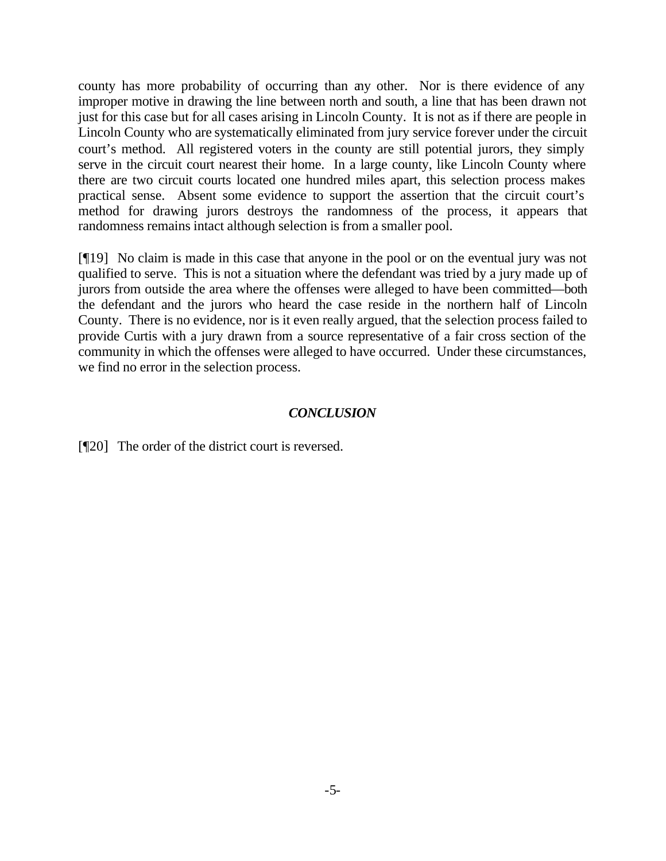county has more probability of occurring than any other. Nor is there evidence of any improper motive in drawing the line between north and south, a line that has been drawn not just for this case but for all cases arising in Lincoln County. It is not as if there are people in Lincoln County who are systematically eliminated from jury service forever under the circuit court's method. All registered voters in the county are still potential jurors, they simply serve in the circuit court nearest their home. In a large county, like Lincoln County where there are two circuit courts located one hundred miles apart, this selection process makes practical sense. Absent some evidence to support the assertion that the circuit court's method for drawing jurors destroys the randomness of the process, it appears that randomness remains intact although selection is from a smaller pool.

[¶19] No claim is made in this case that anyone in the pool or on the eventual jury was not qualified to serve. This is not a situation where the defendant was tried by a jury made up of jurors from outside the area where the offenses were alleged to have been committed—both the defendant and the jurors who heard the case reside in the northern half of Lincoln County. There is no evidence, nor is it even really argued, that the selection process failed to provide Curtis with a jury drawn from a source representative of a fair cross section of the community in which the offenses were alleged to have occurred. Under these circumstances, we find no error in the selection process.

### *CONCLUSION*

[¶20] The order of the district court is reversed.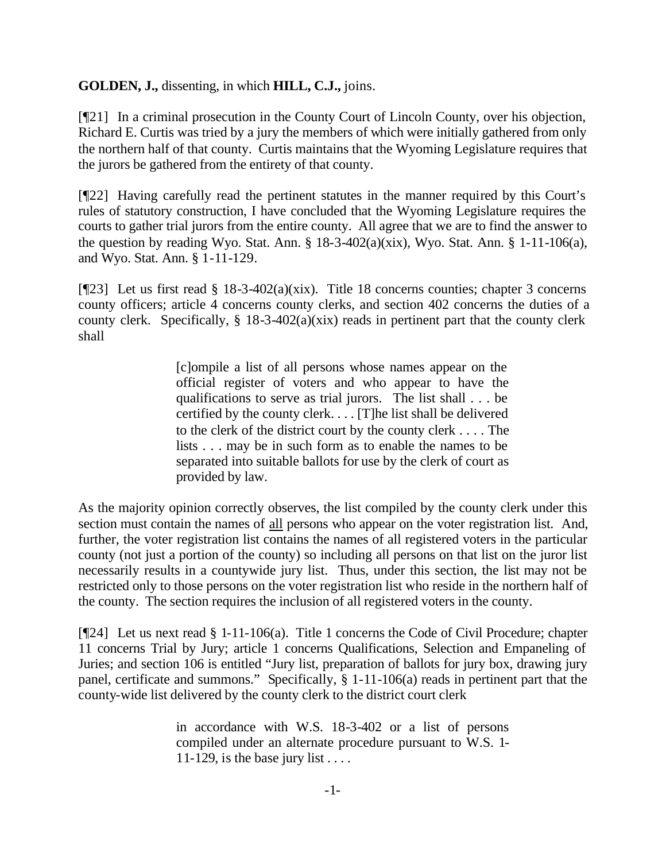### **GOLDEN, J.,** dissenting, in which **HILL, C.J.,** joins.

[¶21] In a criminal prosecution in the County Court of Lincoln County, over his objection, Richard E. Curtis was tried by a jury the members of which were initially gathered from only the northern half of that county. Curtis maintains that the Wyoming Legislature requires that the jurors be gathered from the entirety of that county.

[¶22] Having carefully read the pertinent statutes in the manner required by this Court's rules of statutory construction, I have concluded that the Wyoming Legislature requires the courts to gather trial jurors from the entire county. All agree that we are to find the answer to the question by reading Wyo. Stat. Ann.  $\S$  18-3-402(a)(xix), Wyo. Stat. Ann.  $\S$  1-11-106(a), and Wyo. Stat. Ann. § 1-11-129.

[¶23] Let us first read § 18-3-402(a)(xix). Title 18 concerns counties; chapter 3 concerns county officers; article 4 concerns county clerks, and section 402 concerns the duties of a county clerk. Specifically,  $\S$  18-3-402(a)(xix) reads in pertinent part that the county clerk shall

> [c]ompile a list of all persons whose names appear on the official register of voters and who appear to have the qualifications to serve as trial jurors. The list shall . . . be certified by the county clerk. . . . [T]he list shall be delivered to the clerk of the district court by the county clerk . . . . The lists . . . may be in such form as to enable the names to be separated into suitable ballots for use by the clerk of court as provided by law.

As the majority opinion correctly observes, the list compiled by the county clerk under this section must contain the names of all persons who appear on the voter registration list. And, further, the voter registration list contains the names of all registered voters in the particular county (not just a portion of the county) so including all persons on that list on the juror list necessarily results in a countywide jury list. Thus, under this section, the list may not be restricted only to those persons on the voter registration list who reside in the northern half of the county. The section requires the inclusion of all registered voters in the county.

[¶24] Let us next read § 1-11-106(a). Title 1 concerns the Code of Civil Procedure; chapter 11 concerns Trial by Jury; article 1 concerns Qualifications, Selection and Empaneling of Juries; and section 106 is entitled "Jury list, preparation of ballots for jury box, drawing jury panel, certificate and summons." Specifically, § 1-11-106(a) reads in pertinent part that the county-wide list delivered by the county clerk to the district court clerk

> in accordance with W.S. 18-3-402 or a list of persons compiled under an alternate procedure pursuant to W.S. 1- 11-129, is the base jury list  $\dots$ .